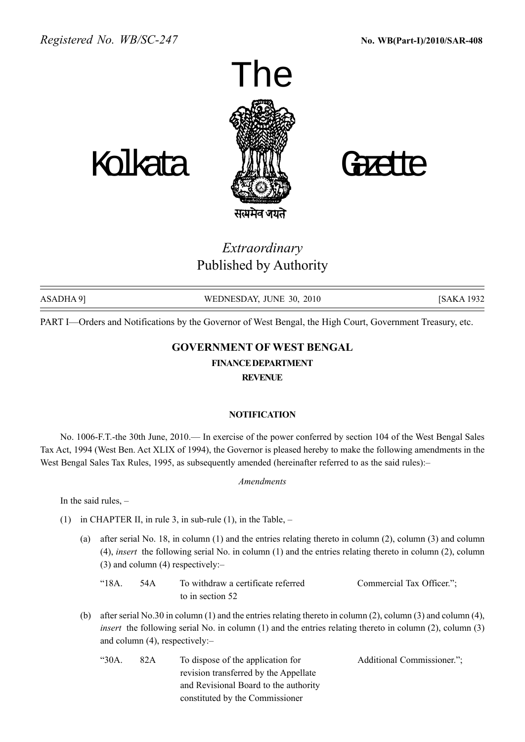

सत्यमेव जयते

# Extraordinary Published by Authority

| ASADHA 91 | WEDNESDAY, JUNE 30, 2010 | <b>ISAKA 1932</b> |
|-----------|--------------------------|-------------------|

PART I—Orders and Notifications by the Governor of West Bengal, the High Court, Government Treasury, etc.

## GOVERNMENT OF WEST BENGAL

## FINANCEDEPARTMENT

REVENUE

## **NOTIFICATION**

No. 1006-F.T.-the 30th June, 2010.— In exercise of the power conferred by section 104 of the West Bengal Sales Tax Act, 1994 (West Ben. Act XLIX of 1994), the Governor is pleased hereby to make the following amendments in the West Bengal Sales Tax Rules, 1995, as subsequently amended (hereinafter referred to as the said rules):-

## Amendments

In the said rules,  $-$ 

- (1) in CHAPTER II, in rule 3, in sub-rule (1), in the Table,  $-$ 
	- (a) after serial No. 18, in column (1) and the entries relating thereto in column (2), column (3) and column (4), insert the following serial No. in column (1) and the entries relating thereto in column (2), column (3) and column (4) respectively: $$ 
		- ì18A. 54A To withdraw a certificate referred Commercial Tax Officer.î; to in section 52
	- (b) after serial No.30 in column (1) and the entries relating thereto in column (2), column (3) and column (4), insert the following serial No. in column (1) and the entries relating thereto in column (2), column (3) and column  $(4)$ , respectively:
		- ì30A. 82A To dispose of the application for Additional Commissioner.î; revision transferred by the Appellate and Revisional Board to the authority constituted by the Commissioner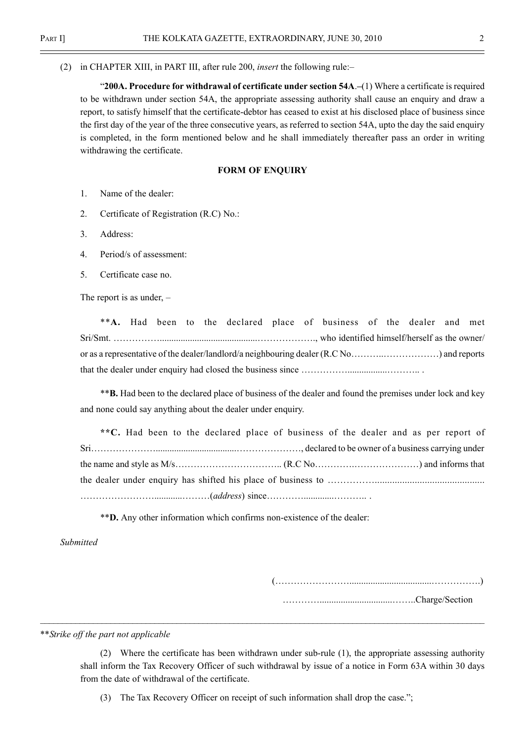(2) in CHAPTER XIII, in PART III, after rule 200, *insert* the following rule: $-$ 

"200A. Procedure for withdrawal of certificate under section  $54A$ . $(1)$  Where a certificate is required to be withdrawn under section 54A, the appropriate assessing authority shall cause an enquiry and draw a report, to satisfy himself that the certificate-debtor has ceased to exist at his disclosed place of business since the first day of the year of the three consecutive years, as referred to section 54A, upto the day the said enquiry is completed, in the form mentioned below and he shall immediately thereafter pass an order in writing withdrawing the certificate.

#### FORM OF ENOUIRY

- 1. Name of the dealer:
- 2. Certificate of Registration (R.C) No.:
- 3. Address:
- 4. Period/s of assessment:
- 5. Certificate case no.

The report is as under,  $-$ 

|  |  |  |  |  |  |  |  | **A. Had been to the declared place of business of the dealer and met |  |  |  |
|--|--|--|--|--|--|--|--|-----------------------------------------------------------------------|--|--|--|
|  |  |  |  |  |  |  |  |                                                                       |  |  |  |
|  |  |  |  |  |  |  |  |                                                                       |  |  |  |
|  |  |  |  |  |  |  |  |                                                                       |  |  |  |

\*\*B. Had been to the declared place of business of the dealer and found the premises under lock and key and none could say anything about the dealer under enquiry.

\*\*C. Had been to the declared place of business of the dealer and as per report of SriÖÖÖÖÖÖÖ...................................ÖÖÖÖÖÖÖ, declared to be owner of a business carrying under the name and style as M/sÖÖÖÖÖÖÖÖÖÖÖ.. (R.C NoÖÖÖÖ.ÖÖÖÖÖÖÖ) and informs that the dealer under enquiry has shifted his place of business to ÖÖÖÖÖ............................................ ÖÖÖÖÖÖÖÖ............ÖÖÖ(address) sinceÖÖÖÖ.............ÖÖÖ.. .

\*\*D. Any other information which confirms non-existence of the dealer:

Submitted

(ÖÖÖÖÖÖÖÖ...................................ÖÖÖÖÖ.)

ÖÖÖÖ...............................ÖÖ..Charge/Section

\*\*Strike off the part not applicable

(2) Where the certificate has been withdrawn under sub-rule (1), the appropriate assessing authority shall inform the Tax Recovery Officer of such withdrawal by issue of a notice in Form 63A within 30 days from the date of withdrawal of the certificate.

(3) The Tax Recovery Officer on receipt of such information shall drop the case.";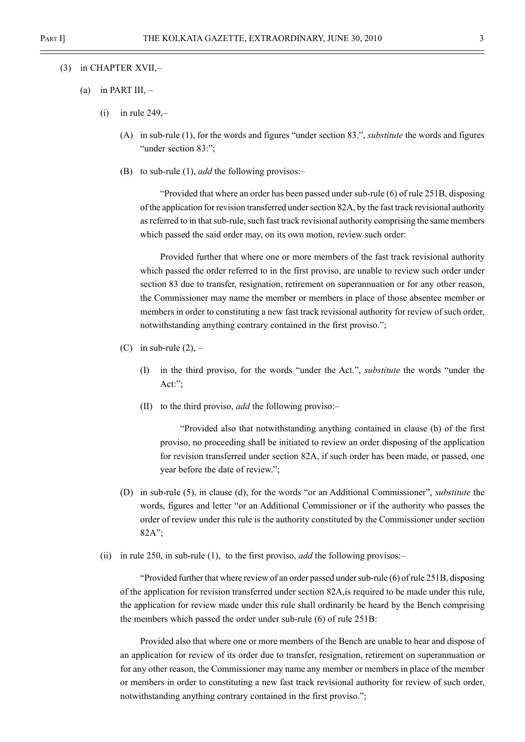#### $(3)$  in CHAPTER XVII, $-$

- (a) in PART III,  $-$ 
	- $(i)$  in rule 249, $-$ 
		- (A) in sub-rule (1), for the words and figures "under section 83.", *substitute* the words and figures "under section 83:":
		- (B) to sub-rule (1), *add* the following provisos:

 $\degree$ Provided that where an order has been passed under sub-rule (6) of rule 251B, disposing of the application for revision transferred under section 82A, by the fast track revisional authority as referred to in that sub-rule, such fast track revisional authority comprising the same members which passed the said order may, on its own motion, review such order:

Provided further that where one or more members of the fast track revisional authority which passed the order referred to in the first proviso, are unable to review such order under section 83 due to transfer, resignation, retirement on superannuation or for any other reason, the Commissioner may name the member or members in place of those absentee member or members in order to constituting a new fast track revisional authority for review of such order, notwithstanding anything contrary contained in the first proviso.";

- (C) in sub-rule  $(2)$ ,
	- $(I)$  in the third proviso, for the words "under the Act.", *substitute* the words "under the Act: $"$ ;
	- (II) to the third proviso, *add* the following proviso:—

ìProvided also that notwithstanding anything contained in clause (b) of the first proviso, no proceeding shall be initiated to review an order disposing of the application for revision transferred under section 82A, if such order has been made, or passed, one year before the date of review.";

- (D) in sub-rule (5), in clause (d), for the words "or an Additional Commissioner", *substitute* the words, figures and letter "or an Additional Commissioner or if the authority who passes the order of review under this rule is the authority constituted by the Commissioner under section  $82A$ ";
- (ii) in rule 250, in sub-rule (1), to the first proviso, *add* the following provisos:

ìProvided further that where review of an order passed under sub-rule (6) of rule 251B, disposing of the application for revision transferred under section 82A,is required to be made under this rule, the application for review made under this rule shall ordinarily be heard by the Bench comprising the members which passed the order under sub-rule (6) of rule 251B:

Provided also that where one or more members of the Bench are unable to hear and dispose of an application for review of its order due to transfer, resignation, retirement on superannuation or for any other reason, the Commissioner may name any member or members in place of the member or members in order to constituting a new fast track revisional authority for review of such order, notwithstanding anything contrary contained in the first proviso.";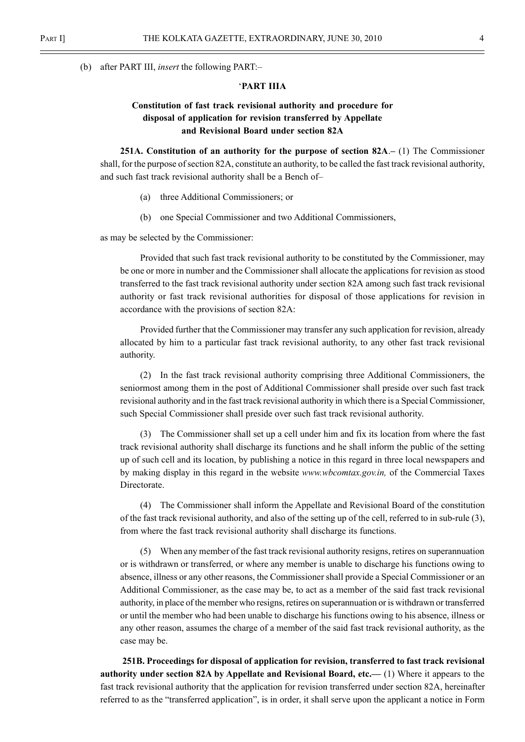(b) after PART III, *insert* the following PART: $-$ 

#### ëPART IIIA

## Constitution of fast track revisional authority and procedure for disposal of application for revision transferred by Appellate and Revisional Board under section 82A

251A. Constitution of an authority for the purpose of section  $82A - (1)$  The Commissioner shall, for the purpose of section 82A, constitute an authority, to be called the fast track revisional authority, and such fast track revisional authority shall be a Bench of-

- (a) three Additional Commissioners; or
- (b) one Special Commissioner and two Additional Commissioners,

as may be selected by the Commissioner:

Provided that such fast track revisional authority to be constituted by the Commissioner, may be one or more in number and the Commissioner shall allocate the applications for revision as stood transferred to the fast track revisional authority under section 82A among such fast track revisional authority or fast track revisional authorities for disposal of those applications for revision in accordance with the provisions of section 82A:

Provided further that the Commissioner may transfer any such application for revision, already allocated by him to a particular fast track revisional authority, to any other fast track revisional authority.

(2) In the fast track revisional authority comprising three Additional Commissioners, the seniormost among them in the post of Additional Commissioner shall preside over such fast track revisional authority and in the fast track revisional authority in which there is a Special Commissioner, such Special Commissioner shall preside over such fast track revisional authority.

(3) The Commissioner shall set up a cell under him and fix its location from where the fast track revisional authority shall discharge its functions and he shall inform the public of the setting up of such cell and its location, by publishing a notice in this regard in three local newspapers and by making display in this regard in the website www.wbcomtax.gov.in, of the Commercial Taxes Directorate.

(4) The Commissioner shall inform the Appellate and Revisional Board of the constitution of the fast track revisional authority, and also of the setting up of the cell, referred to in sub-rule (3), from where the fast track revisional authority shall discharge its functions.

(5) When any member of the fast track revisional authority resigns, retires on superannuation or is withdrawn or transferred, or where any member is unable to discharge his functions owing to absence, illness or any other reasons, the Commissioner shall provide a Special Commissioner or an Additional Commissioner, as the case may be, to act as a member of the said fast track revisional authority, in place of the member who resigns, retires on superannuation or is withdrawn or transferred or until the member who had been unable to discharge his functions owing to his absence, illness or any other reason, assumes the charge of a member of the said fast track revisional authority, as the case may be.

251B. Proceedings for disposal of application for revision, transferred to fast track revisional authority under section 82A by Appellate and Revisional Board, etc.  $(1)$  Where it appears to the fast track revisional authority that the application for revision transferred under section 82A, hereinafter referred to as the "transferred application", is in order, it shall serve upon the applicant a notice in Form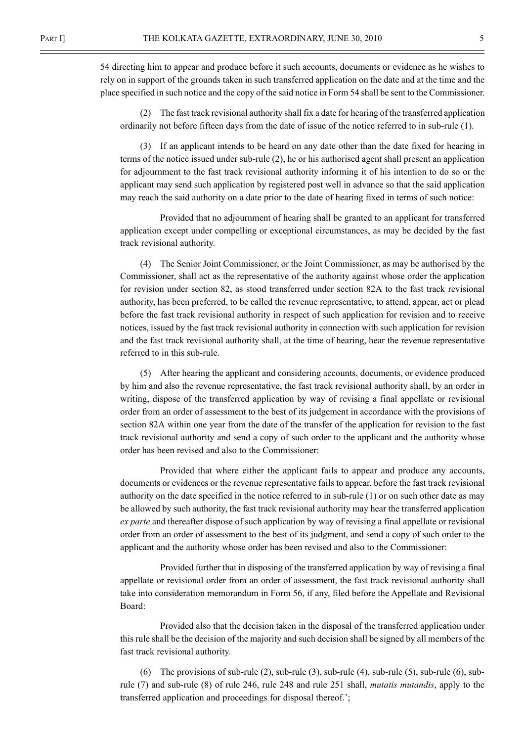54 directing him to appear and produce before it such accounts, documents or evidence as he wishes to rely on in support of the grounds taken in such transferred application on the date and at the time and the place specified in such notice and the copy of the said notice in Form 54 shall be sent to the Commissioner.

(2) The fast track revisional authority shall fix a date for hearing of the transferred application ordinarily not before fifteen days from the date of issue of the notice referred to in sub-rule (1).

(3) If an applicant intends to be heard on any date other than the date fixed for hearing in terms of the notice issued under sub-rule (2), he or his authorised agent shall present an application for adjournment to the fast track revisional authority informing it of his intention to do so or the applicant may send such application by registered post well in advance so that the said application may reach the said authority on a date prior to the date of hearing fixed in terms of such notice:

Provided that no adjournment of hearing shall be granted to an applicant for transferred application except under compelling or exceptional circumstances, as may be decided by the fast track revisional authority.

(4) The Senior Joint Commissioner, or the Joint Commissioner, as may be authorised by the Commissioner, shall act as the representative of the authority against whose order the application for revision under section 82, as stood transferred under section 82A to the fast track revisional authority, has been preferred, to be called the revenue representative, to attend, appear, act or plead before the fast track revisional authority in respect of such application for revision and to receive notices, issued by the fast track revisional authority in connection with such application for revision and the fast track revisional authority shall, at the time of hearing, hear the revenue representative referred to in this sub-rule.

(5) After hearing the applicant and considering accounts, documents, or evidence produced by him and also the revenue representative, the fast track revisional authority shall, by an order in writing, dispose of the transferred application by way of revising a final appellate or revisional order from an order of assessment to the best of its judgement in accordance with the provisions of section 82A within one year from the date of the transfer of the application for revision to the fast track revisional authority and send a copy of such order to the applicant and the authority whose order has been revised and also to the Commissioner:

Provided that where either the applicant fails to appear and produce any accounts, documents or evidences or the revenue representative fails to appear, before the fast track revisional authority on the date specified in the notice referred to in sub-rule (1) or on such other date as may be allowed by such authority, the fast track revisional authority may hear the transferred application ex parte and thereafter dispose of such application by way of revising a final appellate or revisional order from an order of assessment to the best of its judgment, and send a copy of such order to the applicant and the authority whose order has been revised and also to the Commissioner:

Provided further that in disposing of the transferred application by way of revising a final appellate or revisional order from an order of assessment, the fast track revisional authority shall take into consideration memorandum in Form 56, if any, filed before the Appellate and Revisional Board:

Provided also that the decision taken in the disposal of the transferred application under this rule shall be the decision of the majority and such decision shall be signed by all members of the fast track revisional authority.

(6) The provisions of sub-rule  $(2)$ , sub-rule  $(3)$ , sub-rule  $(4)$ , sub-rule  $(5)$ , sub-rule  $(6)$ , subrule (7) and sub-rule (8) of rule 246, rule 248 and rule 251 shall, mutatis mutandis, apply to the transferred application and proceedings for disposal thereof.;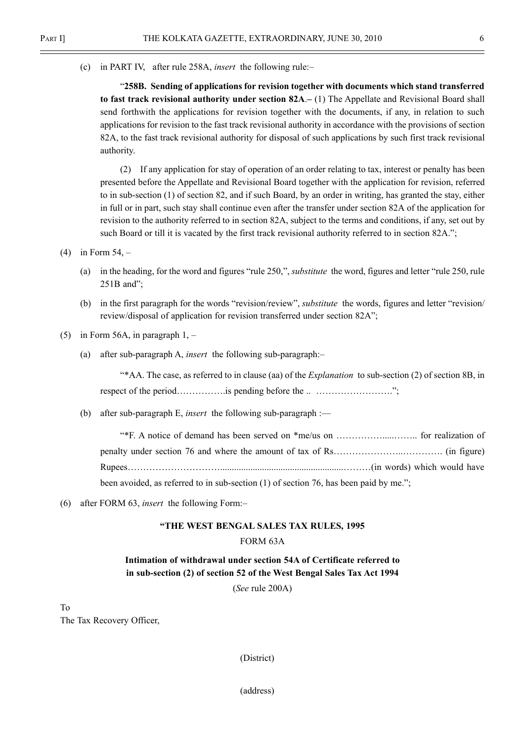(c) in PART IV, after rule 258A, *insert* the following rule: $-$ 

ì258B. Sending of applications for revision together with documents which stand transferred to fast track revisional authority under section  $82A - (1)$  The Appellate and Revisional Board shall send forthwith the applications for revision together with the documents, if any, in relation to such applications for revision to the fast track revisional authority in accordance with the provisions of section 82A, to the fast track revisional authority for disposal of such applications by such first track revisional authority.

(2) If any application for stay of operation of an order relating to tax, interest or penalty has been presented before the Appellate and Revisional Board together with the application for revision, referred to in sub-section (1) of section 82, and if such Board, by an order in writing, has granted the stay, either in full or in part, such stay shall continue even after the transfer under section 82A of the application for revision to the authority referred to in section 82A, subject to the terms and conditions, if any, set out by such Board or till it is vacated by the first track revisional authority referred to in section 82A.<sup>\*</sup>;

- (4) in Form  $54, -$ 
	- (a) in the heading, for the word and figures "rule  $250$ ,", *substitute* the word, figures and letter "rule  $250$ , rule  $251B$  and";
	- (b) in the first paragraph for the words "revision/review", *substitute* the words, figures and letter "revision/ review/disposal of application for revision transferred under section 82A";
- (5) in Form 56A, in paragraph  $1, -$ 
	- (a) after sub-paragraph A, *insert* the following sub-paragraph: $-$

**Explanation** to sub-section (2) of section 8B, in  $\frac{a}{2}$ respect of the periodÖÖÖÖÖ.is pending before the .. ÖÖÖÖÖÖÖÖ.î;

(b) after sub-paragraph E, *insert* the following sub-paragraph :—

<sup>\*\*</sup>F. A notice of demand has been served on \*me/us on  $\dots$  $\dots$  $\dots$  $\dots$  $\dots$  for realization of penalty under section 76 and where the amount of tax of RsÖÖÖÖÖÖÖ..ÖÖÖÖ. (in figure) RupeesÖÖÖÖÖÖÖÖÖÖ.....................................................ÖÖÖ(in words) which would have been avoided, as referred to in sub-section  $(1)$  of section 76, has been paid by me.";

(6) after FORM 63, insert the following Form: $-$ 

## ìTHE WEST BENGAL SALES TAX RULES, 1995

### FORM 63A

## Intimation of withdrawal under section 54A of Certificate referred to in sub-section (2) of section 52 of the West Bengal Sales Tax Act 1994

(See rule 200A)

To The Tax Recovery Officer,

(District)